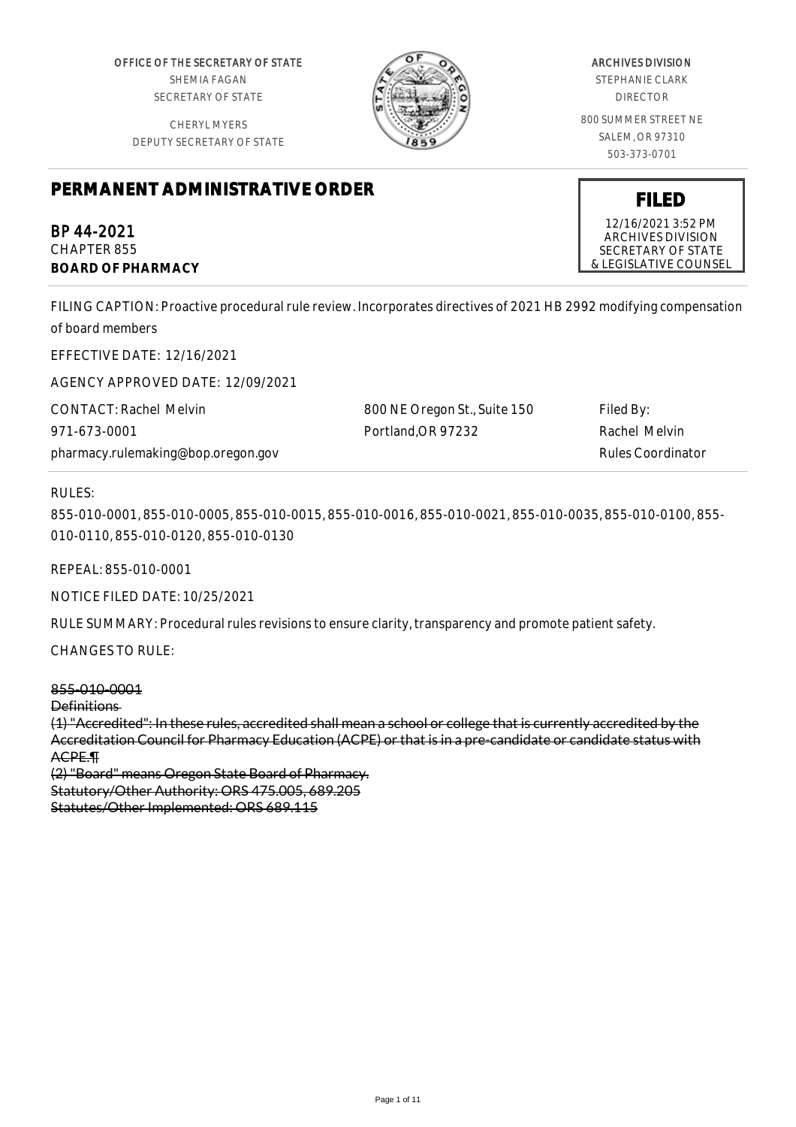OFFICE OF THE SECRETARY OF STATE SHEMIA FAGAN SECRETARY OF STATE

CHERYL MYERS DEPUTY SECRETARY OF STATE



## ARCHIVES DIVISION

STEPHANIE CLARK DIRECTOR

800 SUMMER STREET NE SALEM, OR 97310 503-373-0701

**FILED** 12/16/2021 3:52 PM ARCHIVES DIVISION SECRETARY OF STATE & LEGISLATIVE COUNSEL

# **PERMANENT ADMINISTRATIVE ORDER**

BP 44-2021 CHAPTER 855 **BOARD OF PHARMACY**

FILING CAPTION: Proactive procedural rule review. Incorporates directives of 2021 HB 2992 modifying compensation of board members

EFFECTIVE DATE: 12/16/2021

AGENCY APPROVED DATE: 12/09/2021

CONTACT: Rachel Melvin 971-673-0001 pharmacy.rulemaking@bop.oregon.gov 800 NE Oregon St., Suite 150 Portland,OR 97232

Filed By: Rachel Melvin Rules Coordinator

## RULES:

855-010-0001, 855-010-0005, 855-010-0015, 855-010-0016, 855-010-0021, 855-010-0035, 855-010-0100, 855- 010-0110, 855-010-0120, 855-010-0130

REPEAL: 855-010-0001

NOTICE FILED DATE: 10/25/2021

RULE SUMMARY: Procedural rules revisions to ensure clarity, transparency and promote patient safety.

CHANGES TO RULE:

855-010-0001 Definitions (1) "Accredited": In these rules, accredited shall mean a school or college that is currently accredited by the Accreditation Council for Pharmacy Education (ACPE) or that is in a pre-candidate or candidate status with ACPE.¶

(2) "Board" means Oregon State Board of Pharmacy. Statutory/Other Authority: ORS 475.005, 689.205 Statutes/Other Implemented: ORS 689.115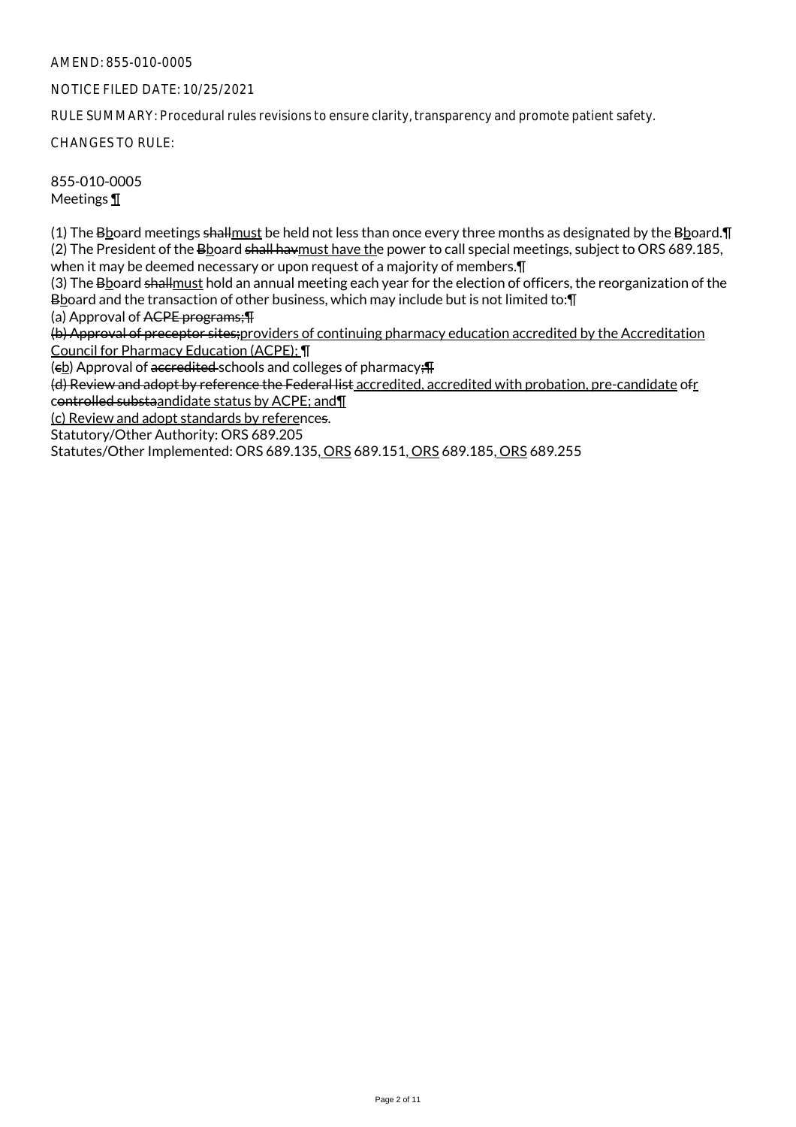## NOTICE FILED DATE: 10/25/2021

RULE SUMMARY: Procedural rules revisions to ensure clarity, transparency and promote patient safety.

CHANGES TO RULE:

855-010-0005 Meetings ¶

(1) The Bboard meetings shallmust be held not less than once every three months as designated by the Bboard.¶ (2) The President of the Bboard shall havmust have the power to call special meetings, subject to ORS 689.185, when it may be deemed necessary or upon request of a majority of members.¶

(3) The Bboard shallmust hold an annual meeting each year for the election of officers, the reorganization of the Bboard and the transaction of other business, which may include but is not limited to:¶

(a) Approval of ACPE programs;¶

(b) Approval of preceptor sites;providers of continuing pharmacy education accredited by the Accreditation Council for Pharmacy Education (ACPE); ¶

(eb) Approval of accredited schools and colleges of pharmacy;  $\text{F}$ 

(d) Review and adopt by reference the Federal list accredited, accredited with probation, pre-candidate ofr controlled substaandidate status by ACPE; and¶

(c) Review and adopt standards by references.

Statutory/Other Authority: ORS 689.205

Statutes/Other Implemented: ORS 689.135, ORS 689.151, ORS 689.185, ORS 689.255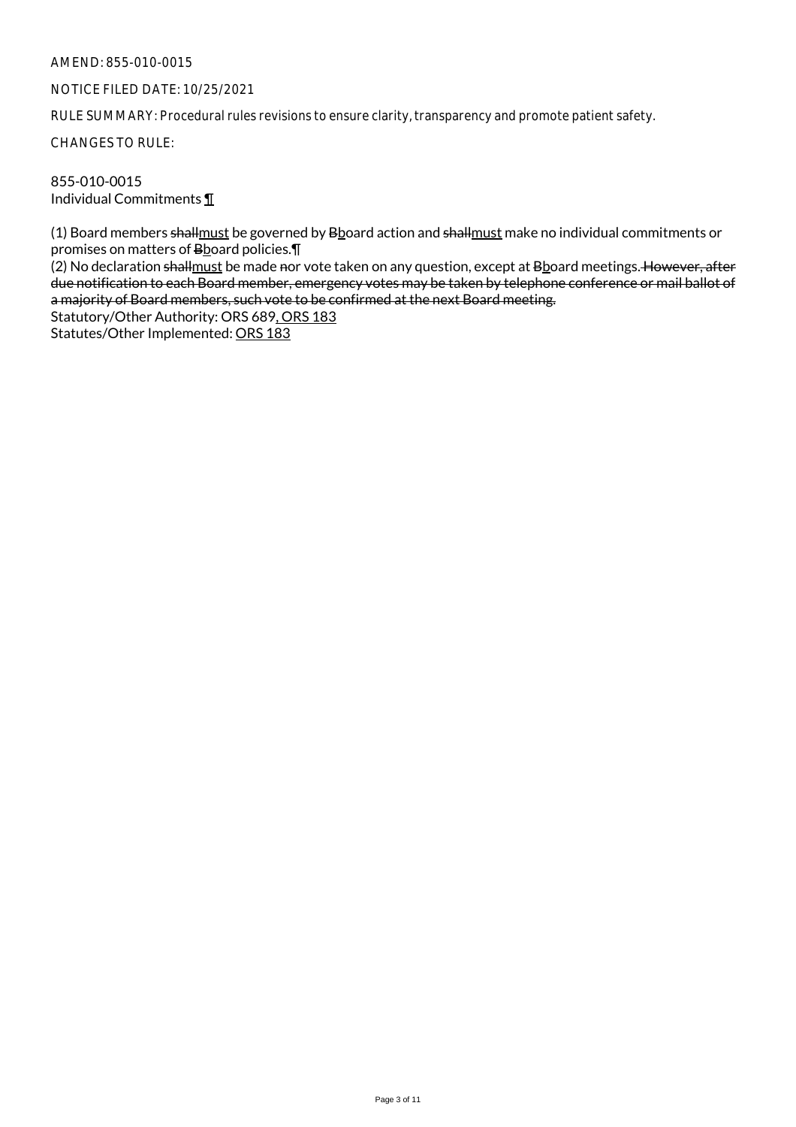## NOTICE FILED DATE: 10/25/2021

RULE SUMMARY: Procedural rules revisions to ensure clarity, transparency and promote patient safety.

CHANGES TO RULE:

855-010-0015 Individual Commitments ¶

(1) Board members shall must be governed by Bboard action and shall must make no individual commitments or promises on matters of Bboard policies.¶

(2) No declaration shallmust be made nor vote taken on any question, except at Bboard meetings. However, after due notification to each Board member, emergency votes may be taken by telephone conference or mail ballot of a majority of Board members, such vote to be confirmed at the next Board meeting.

Statutory/Other Authority: ORS 689, ORS 183 Statutes/Other Implemented: ORS 183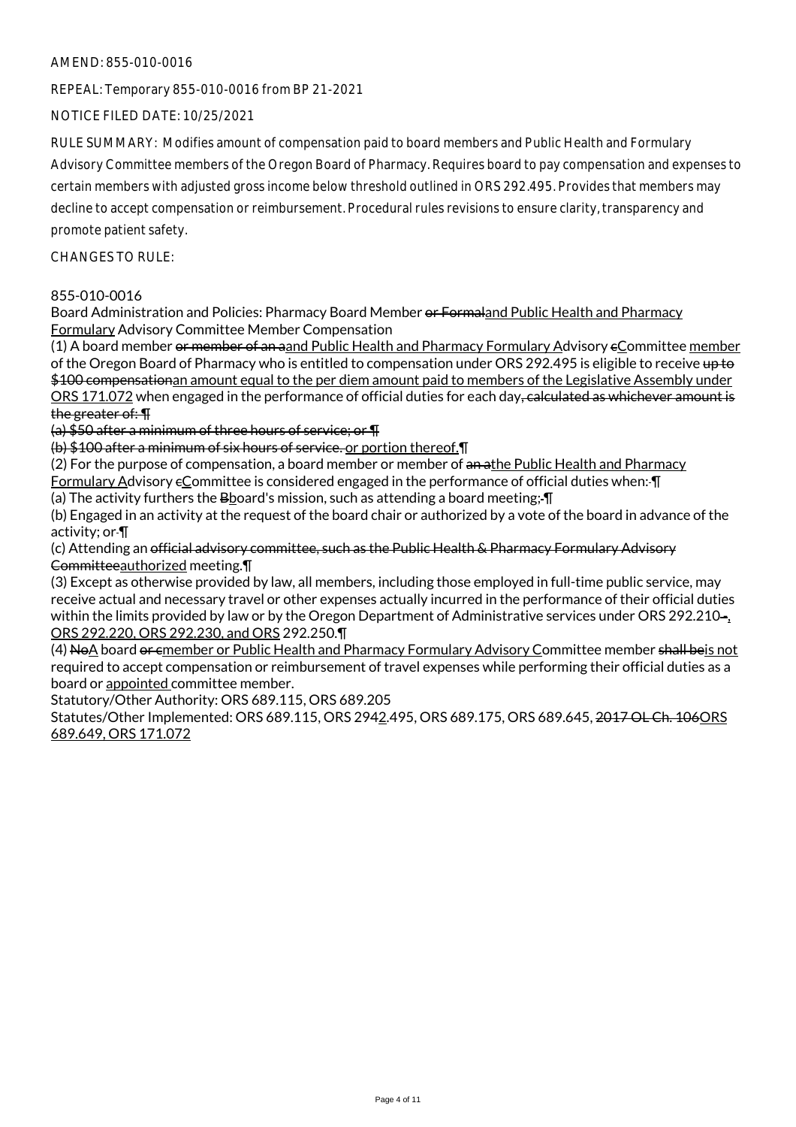REPEAL: Temporary 855-010-0016 from BP 21-2021

NOTICE FILED DATE: 10/25/2021

RULE SUMMARY: Modifies amount of compensation paid to board members and Public Health and Formulary Advisory Committee members of the Oregon Board of Pharmacy. Requires board to pay compensation and expenses to certain members with adjusted gross income below threshold outlined in ORS 292.495. Provides that members may decline to accept compensation or reimbursement. Procedural rules revisions to ensure clarity, transparency and promote patient safety.

CHANGES TO RULE:

## 855-010-0016

Board Administration and Policies: Pharmacy Board Member or Formaland Public Health and Pharmacy Formulary Advisory Committee Member Compensation

(1) A board member of member of an aand Public Health and Pharmacy Formulary Advisory eCommittee member of the Oregon Board of Pharmacy who is entitled to compensation under ORS 292.495 is eligible to receive up to \$100 compensationan amount equal to the per diem amount paid to members of the Legislative Assembly under ORS 171.072 when engaged in the performance of official duties for each day, calculated as whichever amount is the greater of: ¶

(a) \$50 after a minimum of three hours of service; or ¶

(b) \$100 after a minimum of six hours of service. or portion thereof.¶

(2) For the purpose of compensation, a board member or member of an athe Public Health and Pharmacy Formulary Advisory eCommittee is considered engaged in the performance of official duties when: I

(a) The activity furthers the Bboard's mission, such as attending a board meeting; ¶

(b) Engaged in an activity at the request of the board chair or authorized by a vote of the board in advance of the activity; or ¶

(c) Attending an official advisory committee, such as the Public Health & Pharmacy Formulary Advisory Committeeauthorized meeting.¶

(3) Except as otherwise provided by law, all members, including those employed in full-time public service, may receive actual and necessary travel or other expenses actually incurred in the performance of their official duties within the limits provided by law or by the Oregon Department of Administrative services under ORS 292.210-, ORS 292.220, ORS 292.230, and ORS 292.250.¶

(4) NoA board or emember or Public Health and Pharmacy Formulary Advisory Committee member shall beis not required to accept compensation or reimbursement of travel expenses while performing their official duties as a board or appointed committee member.

Statutory/Other Authority: ORS 689.115, ORS 689.205

Statutes/Other Implemented: ORS 689.115, ORS 2942.495, ORS 689.175, ORS 689.645, 2017 OL Ch. 106ORS 689.649, ORS 171.072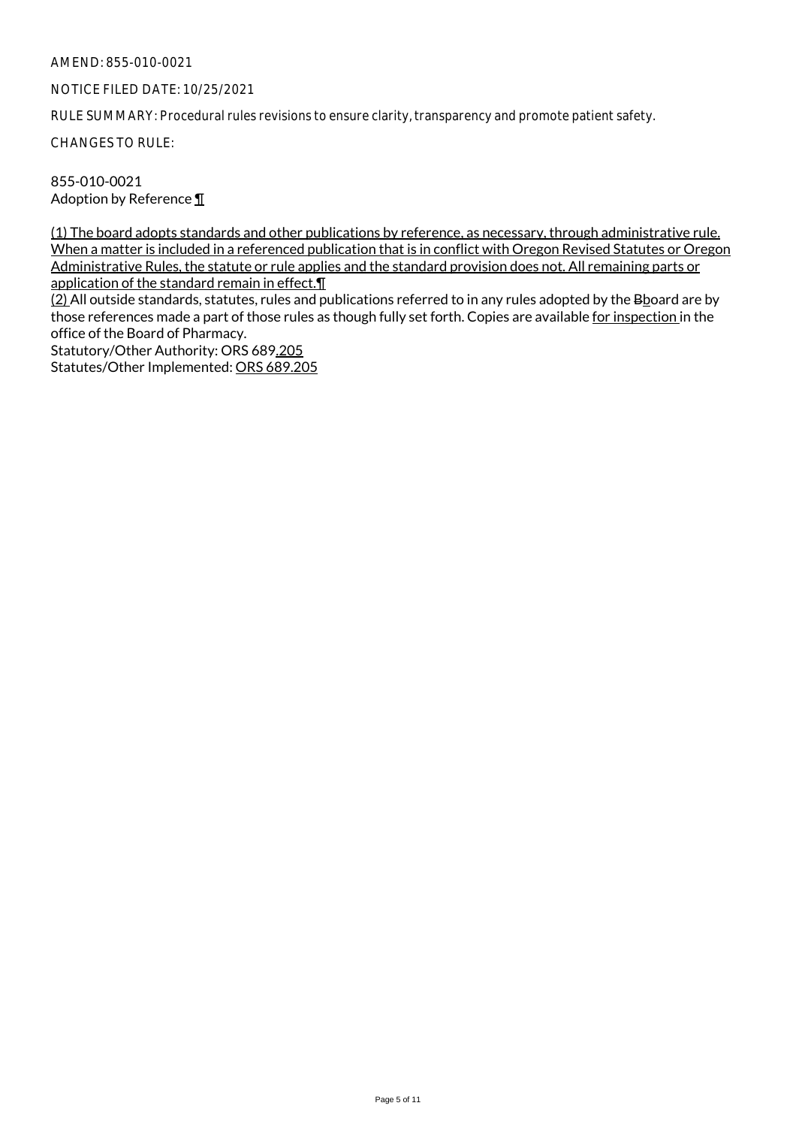## NOTICE FILED DATE: 10/25/2021

RULE SUMMARY: Procedural rules revisions to ensure clarity, transparency and promote patient safety.

CHANGES TO RULE:

855-010-0021 Adoption by Reference ¶

(1) The board adopts standards and other publications by reference, as necessary, through administrative rule. When a matter is included in a referenced publication that is in conflict with Oregon Revised Statutes or Oregon Administrative Rules, the statute or rule applies and the standard provision does not. All remaining parts or application of the standard remain in effect.¶

(2) All outside standards, statutes, rules and publications referred to in any rules adopted by the Bboard are by those references made a part of those rules as though fully set forth. Copies are available for inspection in the office of the Board of Pharmacy.

Statutory/Other Authority: ORS 689.205 Statutes/Other Implemented: ORS 689.205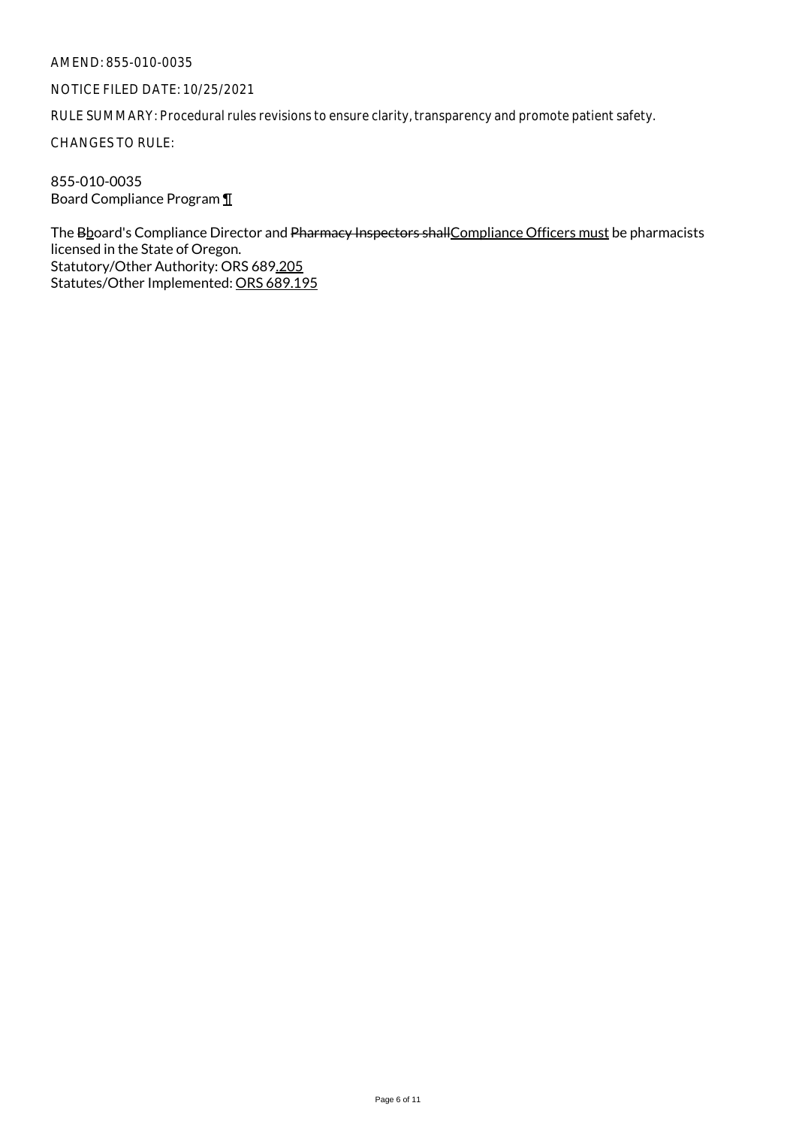## NOTICE FILED DATE: 10/25/2021

RULE SUMMARY: Procedural rules revisions to ensure clarity, transparency and promote patient safety.

CHANGES TO RULE:

855-010-0035 Board Compliance Program ¶

The Bboard's Compliance Director and Pharmacy Inspectors shall Compliance Officers must be pharmacists licensed in the State of Oregon. Statutory/Other Authority: ORS 689.205 Statutes/Other Implemented: ORS 689.195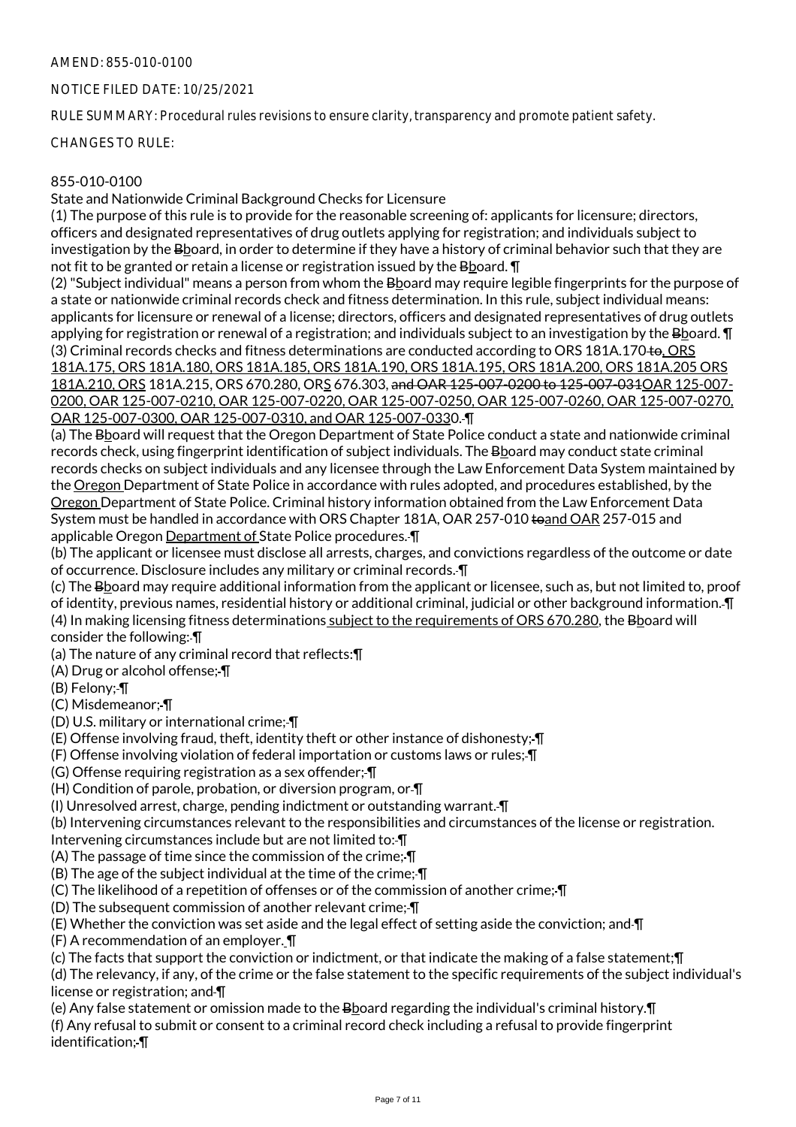## NOTICE FILED DATE: 10/25/2021

RULE SUMMARY: Procedural rules revisions to ensure clarity, transparency and promote patient safety.

CHANGES TO RULE:

## 855-010-0100

State and Nationwide Criminal Background Checks for Licensure

(1) The purpose of this rule is to provide for the reasonable screening of: applicants for licensure; directors, officers and designated representatives of drug outlets applying for registration; and individuals subject to investigation by the Bboard, in order to determine if they have a history of criminal behavior such that they are not fit to be granted or retain a license or registration issued by the Bboard. ¶

(2) "Subject individual" means a person from whom the Bboard may require legible fingerprints for the purpose of a state or nationwide criminal records check and fitness determination. In this rule, subject individual means: applicants for licensure or renewal of a license; directors, officers and designated representatives of drug outlets applying for registration or renewal of a registration; and individuals subject to an investigation by the Bboard. ¶ (3) Criminal records checks and fitness determinations are conducted according to ORS 181A.170 to, ORS 181A.175, ORS 181A.180, ORS 181A.185, ORS 181A.190, ORS 181A.195, ORS 181A.200, ORS 181A.205 ORS 181A.210, ORS 181A.215, ORS 670.280, ORS 676.303, and OAR 125-007-0200 to 125-007-031OAR 125-007- 0200, OAR 125-007-0210, OAR 125-007-0220, OAR 125-007-0250, OAR 125-007-0260, OAR 125-007-0270, OAR 125-007-0300, OAR 125-007-0310, and OAR 125-007-0330. ¶

(a) The Bboard will request that the Oregon Department of State Police conduct a state and nationwide criminal records check, using fingerprint identification of subject individuals. The Bboard may conduct state criminal records checks on subject individuals and any licensee through the Law Enforcement Data System maintained by the Oregon Department of State Police in accordance with rules adopted, and procedures established, by the Oregon Department of State Police. Criminal history information obtained from the Law Enforcement Data System must be handled in accordance with ORS Chapter 181A, OAR 257-010 toand OAR 257-015 and applicable Oregon Department of State Police procedures. ¶

(b) The applicant or licensee must disclose all arrests, charges, and convictions regardless of the outcome or date of occurrence. Disclosure includes any military or criminal records. ¶

(c) The Bboard may require additional information from the applicant or licensee, such as, but not limited to, proof of identity, previous names, residential history or additional criminal, judicial or other background information. ¶ (4) In making licensing fitness determinations subject to the requirements of ORS 670.280, the Bboard will consider the following: ¶

(a) The nature of any criminal record that reflects:¶

(A) Drug or alcohol offense; ¶

(B) Felony; ¶

(C) Misdemeanor; ¶

(D) U.S. military or international crime; ¶

(E) Offense involving fraud, theft, identity theft or other instance of dishonesty; ¶

(F) Offense involving violation of federal importation or customs laws or rules; ¶

(G) Offense requiring registration as a sex offender; ¶

(H) Condition of parole, probation, or diversion program, or ¶

(I) Unresolved arrest, charge, pending indictment or outstanding warrant. ¶

(b) Intervening circumstances relevant to the responsibilities and circumstances of the license or registration.

Intervening circumstances include but are not limited to:-

(A) The passage of time since the commission of the crime; ¶

(B) The age of the subject individual at the time of the crime; ¶

(C) The likelihood of a repetition of offenses or of the commission of another crime; ¶

(D) The subsequent commission of another relevant crime; ¶

(E) Whether the conviction was set aside and the legal effect of setting aside the conviction; and ¶

(F) A recommendation of an employer. ¶

(c) The facts that support the conviction or indictment, or that indicate the making of a false statement;¶

(d) The relevancy, if any, of the crime or the false statement to the specific requirements of the subject individual's license or registration; and *[[]* 

(e) Any false statement or omission made to the Booard regarding the individual's criminal history. I (f) Any refusal to submit or consent to a criminal record check including a refusal to provide fingerprint identification; ¶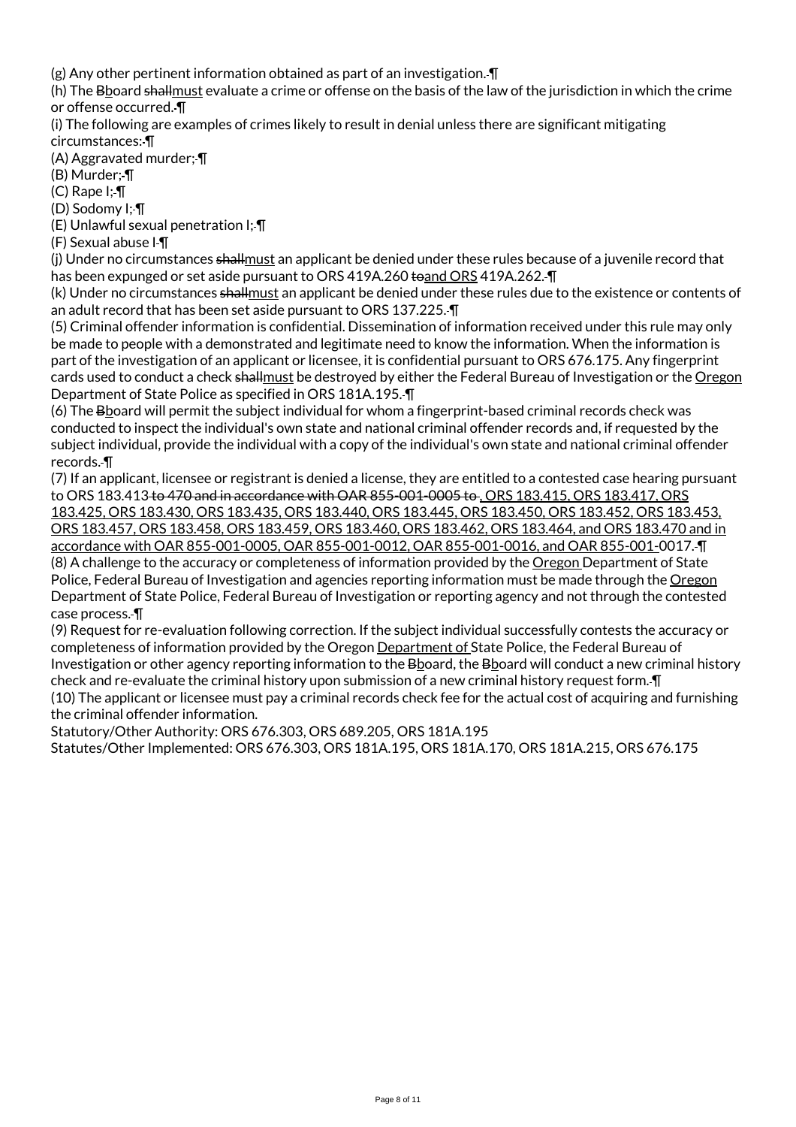(g) Any other pertinent information obtained as part of an investigation. ¶

(h) The Bboard shall must evaluate a crime or offense on the basis of the law of the jurisdiction in which the crime or offense occurred. ¶

(i) The following are examples of crimes likely to result in denial unless there are significant mitigating circumstances: ¶

(A) Aggravated murder; ¶

(B) Murder; ¶

 $(C)$  Rape  $I$ ;- $\P$ 

(D) Sodomy I; ¶

(E) Unlawful sexual penetration I; ¶

(F) Sexual abuse I ¶

(j) Under no circumstances shallmust an applicant be denied under these rules because of a juvenile record that has been expunged or set aside pursuant to ORS 419A.260 to and ORS 419A.262. IT

(k) Under no circumstances shallmust an applicant be denied under these rules due to the existence or contents of an adult record that has been set aside pursuant to ORS 137.225. ¶

(5) Criminal offender information is confidential. Dissemination of information received under this rule may only be made to people with a demonstrated and legitimate need to know the information. When the information is part of the investigation of an applicant or licensee, it is confidential pursuant to ORS 676.175. Any fingerprint cards used to conduct a check shallmust be destroyed by either the Federal Bureau of Investigation or the Oregon Department of State Police as specified in ORS 181A.195. ¶

(6) The Bboard will permit the subject individual for whom a fingerprint-based criminal records check was conducted to inspect the individual's own state and national criminal offender records and, if requested by the subject individual, provide the individual with a copy of the individual's own state and national criminal offender records. ¶

(7) If an applicant, licensee or registrant is denied a license, they are entitled to a contested case hearing pursuant to ORS 183.413 to 470 and in accordance with OAR 855-001-0005 to , ORS 183.415, ORS 183.417, ORS 183.425, ORS 183.430, ORS 183.435, ORS 183.440, ORS 183.445, ORS 183.450, ORS 183.452, ORS 183.453, ORS 183.457, ORS 183.458, ORS 183.459, ORS 183.460, ORS 183.462, ORS 183.464, and ORS 183.470 and in accordance with OAR 855-001-0005, OAR 855-001-0012, OAR 855-001-0016, and OAR 855-001-0017. ¶ (8) A challenge to the accuracy or completeness of information provided by the Oregon Department of State Police, Federal Bureau of Investigation and agencies reporting information must be made through the Oregon Department of State Police, Federal Bureau of Investigation or reporting agency and not through the contested case process. ¶

(9) Request for re-evaluation following correction. If the subject individual successfully contests the accuracy or completeness of information provided by the Oregon Department of State Police, the Federal Bureau of Investigation or other agency reporting information to the Bboard, the Bboard will conduct a new criminal history check and re-evaluate the criminal history upon submission of a new criminal history request form. ¶ (10) The applicant or licensee must pay a criminal records check fee for the actual cost of acquiring and furnishing the criminal offender information.

Statutory/Other Authority: ORS 676.303, ORS 689.205, ORS 181A.195

Statutes/Other Implemented: ORS 676.303, ORS 181A.195, ORS 181A.170, ORS 181A.215, ORS 676.175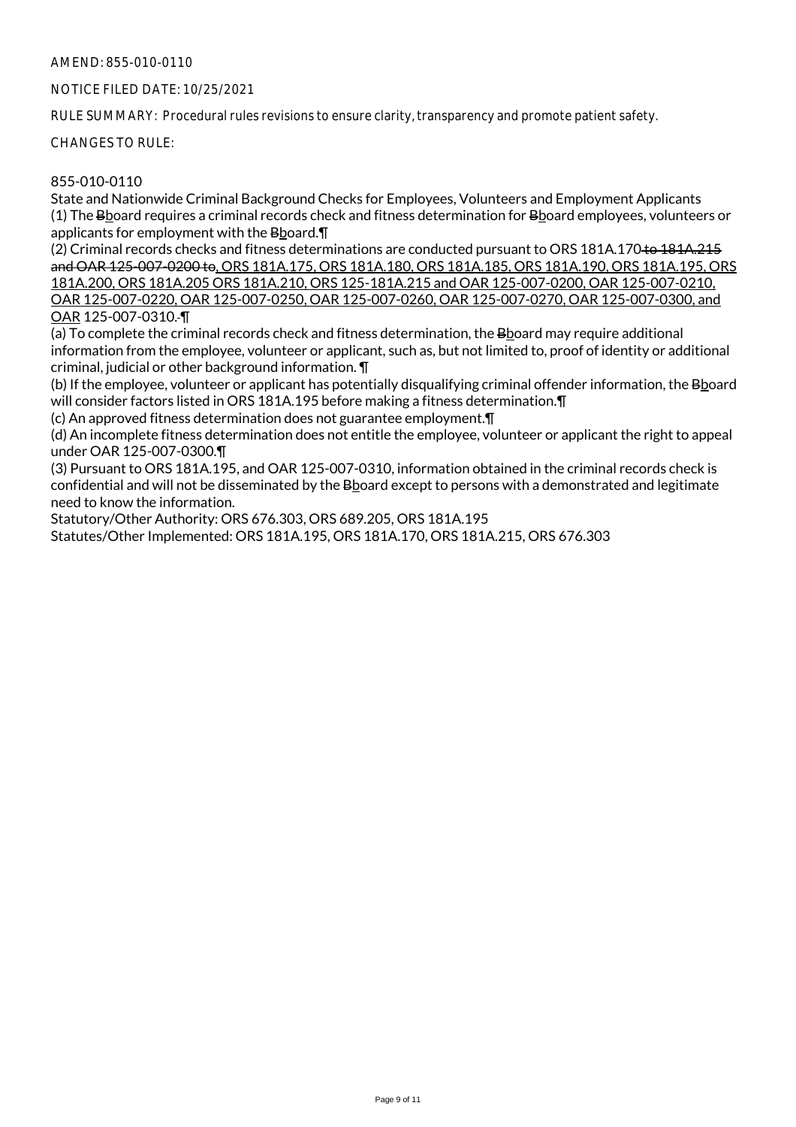NOTICE FILED DATE: 10/25/2021

RULE SUMMARY: Procedural rules revisions to ensure clarity, transparency and promote patient safety.

CHANGES TO RULE:

## 855-010-0110

State and Nationwide Criminal Background Checks for Employees, Volunteers and Employment Applicants (1) The Bboard requires a criminal records check and fitness determination for Bboard employees, volunteers or applicants for employment with the Bboard.¶

(2) Criminal records checks and fitness determinations are conducted pursuant to ORS 181A.170 to 181A.215 and OAR 125-007-0200 to, ORS 181A.175, ORS 181A.180, ORS 181A.185, ORS 181A.190, ORS 181A.195, ORS 181A.200, ORS 181A.205 ORS 181A.210, ORS 125-181A.215 and OAR 125-007-0200, OAR 125-007-0210, OAR 125-007-0220, OAR 125-007-0250, OAR 125-007-0260, OAR 125-007-0270, OAR 125-007-0300, and OAR 125-007-0310. ¶

(a) To complete the criminal records check and fitness determination, the Bboard may require additional information from the employee, volunteer or applicant, such as, but not limited to, proof of identity or additional criminal, judicial or other background information. ¶

(b) If the employee, volunteer or applicant has potentially disqualifying criminal offender information, the Bhoard will consider factors listed in ORS 181A.195 before making a fitness determination.¶

(c) An approved fitness determination does not guarantee employment.¶

(d) An incomplete fitness determination does not entitle the employee, volunteer or applicant the right to appeal under OAR 125-007-0300.¶

(3) Pursuant to ORS 181A.195, and OAR 125-007-0310, information obtained in the criminal records check is confidential and will not be disseminated by the Bboard except to persons with a demonstrated and legitimate need to know the information.

Statutory/Other Authority: ORS 676.303, ORS 689.205, ORS 181A.195

Statutes/Other Implemented: ORS 181A.195, ORS 181A.170, ORS 181A.215, ORS 676.303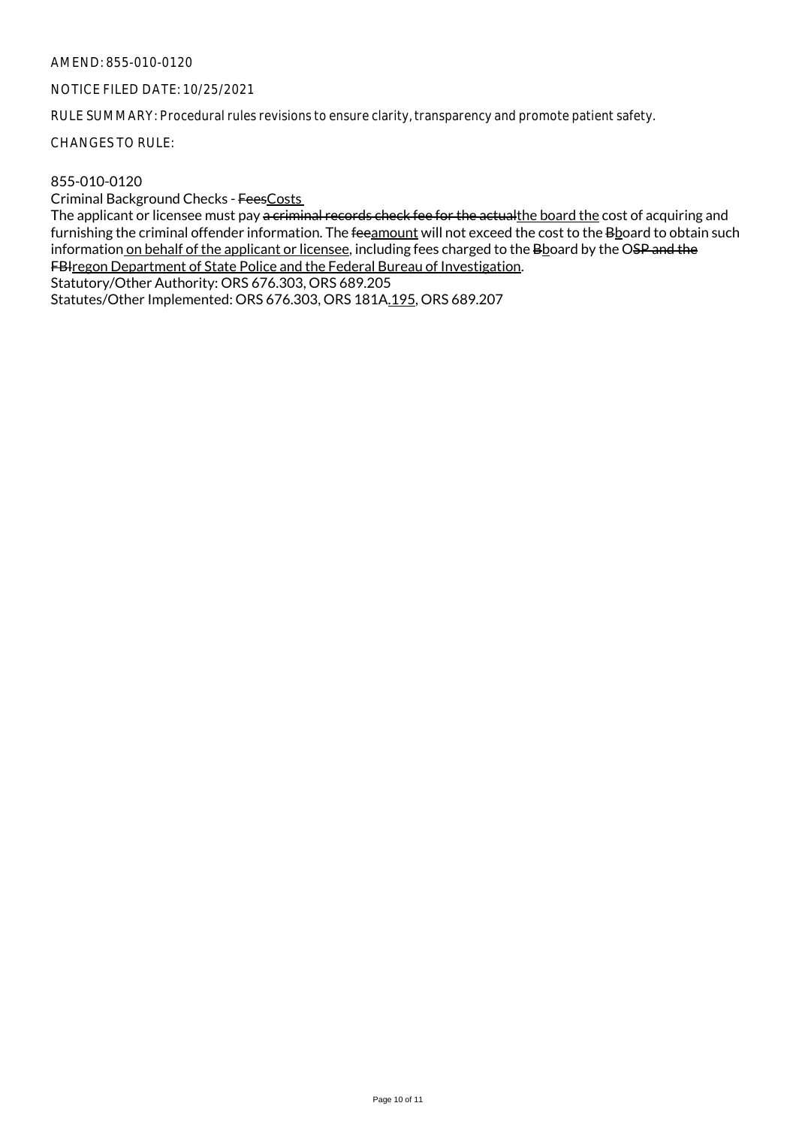## NOTICE FILED DATE: 10/25/2021

RULE SUMMARY: Procedural rules revisions to ensure clarity, transparency and promote patient safety.

CHANGES TO RULE:

## 855-010-0120

Criminal Background Checks - FeesCosts

The applicant or licensee must pay a criminal records check fee for the actualthe board the cost of acquiring and furnishing the criminal offender information. The feeamount will not exceed the cost to the Bboard to obtain such information on behalf of the applicant or licensee, including fees charged to the Bboard by the OSP and the FBIregon Department of State Police and the Federal Bureau of Investigation.

Statutory/Other Authority: ORS 676.303, ORS 689.205

Statutes/Other Implemented: ORS 676.303, ORS 181A.195, ORS 689.207